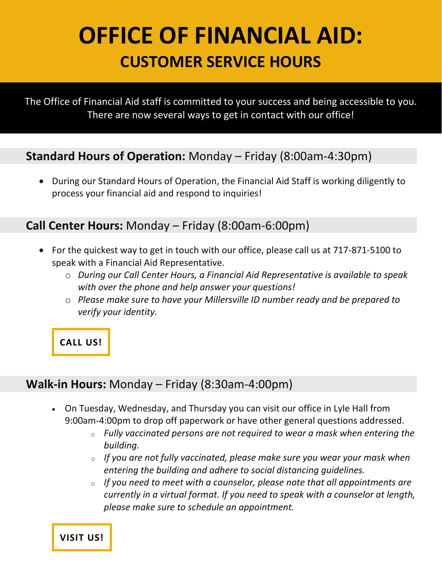# **OFFICE OF FINANCIAL AID: CUSTOMER SERVICE HOURS**

The Office of Financial Aid staff is committed to your success and being accessible to you. There are now several ways to get in contact with our office!

### **Standard Hours of Operation:** Monday – Friday (8:00am-4:30pm)

• During our Standard Hours of Operation, the Financial Aid Staff is working diligently to process your financial aid and respond to inquiries!

#### **Call Center Hours:** Monday – Friday (8:00am-6:00pm)

- For the quickest way to get in touch with our office, please call us at 717-871-5100 to speak with a Financial Aid Representative.
	- o *During our Call Center Hours, a Financial Aid Representative is available to speak with over the phone and help answer your questions!*
	- o *Please make sure to have your Millersville ID number ready and be prepared to verify your identity.*

**[CALL](tel:+17178715100) US!**

### **Walk-in Hours:** Monday – Friday (8:30am-4:00pm)

- On Tuesday, Wednesday, and Thursday you can visit our office in Lyle Hall from 9:00am-4:00pm to drop off paperwork or have other general questions addressed.
	- <sup>o</sup> *Fully vaccinated persons are not required to wear a mask when entering the building.*
	- <sup>o</sup> *If you are not fully vaccinated, please make sure you wear your mask when entering the building and adhere to social distancing guidelines.*
	- <sup>o</sup> *If you need to meet with a counselor, please note that all appointments are currently in a virtual format. If you need to speak with a counselor at length, please make sure to schedule an appointment.*

**[VISIT](https://www.google.com/maps/place/40+Dilworth+Rd,+Millersville,+PA+17551/@40.000307,-76.3579416,19z/data=!3m1!4b1!4m5!3m4!1s0x89c625e47d0ab205:0x5401c2b15c23b579!8m2!3d40.000306!4d-76.3573944) US!**